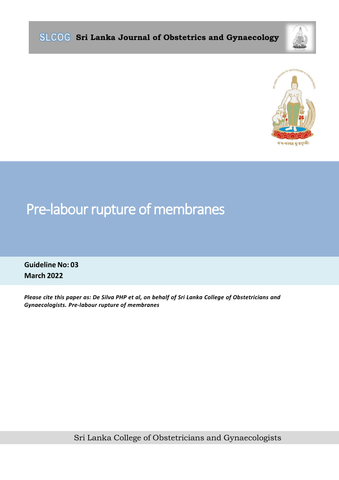

#### ବ୍ୟାହା ସୁ ନୃତ୍ୟୁ:

# Pre-labour rupture of membranes

**Guideline No: 03 March 2022**

*Please cite this paper as: De Silva PHP et al, on behalf of Sri Lanka College of Obstetricians and Gynaecologists. Pre-labour rupture of membranes*

Sri Lanka College of Obstetricians and Gynaecologists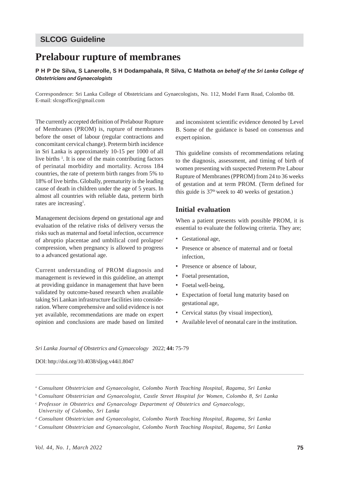### **SLCOG Guideline**

## **Prelabour rupture of membranes**

**P H P De Silva, S Lanerolle, S H Dodampahala, R Silva, C Mathota** *on behalf of the Sri Lanka College of Obstetricians and Gynaecologists*

Correspondence: Sri Lanka College of Obstetricians and Gynaecologists, No. 112, Model Farm Road, Colombo 08. E-mail: slcogoffice@gmail.com

The currently accepted definition of Prelabour Rupture of Membranes (PROM) is, rupture of membranes before the onset of labour (regular contractions and concomitant cervical change). Preterm birth incidence in Sri Lanka is approximately 10-15 per 1000 of all live births <sup>1</sup>. It is one of the main contributing factors of perinatal morbidity and mortality. Across 184 countries, the rate of preterm birth ranges from 5% to 18% of live births. Globally, prematurity is the leading cause of death in children under the age of 5 years. In almost all countries with reliable data, preterm birth rates are increasing<sup>1</sup>.

Management decisions depend on gestational age and evaluation of the relative risks of delivery versus the risks such as maternal and foetal infection, occurrence of abruptio placentae and umbilical cord prolapse/ compression, when pregnancy is allowed to progress to a advanced gestational age.

Current understanding of PROM diagnosis and management is reviewed in this guideline, an attempt at providing guidance in management that have been validated by outcome-based research when available taking Sri Lankan infrastructure facilities into consideration. Where comprehensive and solid evidence is not yet available, recommendations are made on expert opinion and conclusions are made based on limited

and inconsistent scientific evidence denoted by Level B. Some of the guidance is based on consensus and expert opinion.

This guideline consists of recommendations relating to the diagnosis, assessment, and timing of birth of women presenting with suspected Preterm Pre Labour Rupture of Membranes (PPROM) from 24 to 36 weeks of gestation and at term PROM. (Term defined for this guide is  $37<sup>th</sup>$  week to 40 weeks of gestation.)

#### **Initial evaluation**

When a patient presents with possible PROM, it is essential to evaluate the following criteria. They are;

- Gestational age,
- Presence or absence of maternal and or foetal infection,
- Presence or absence of labour,
- Foetal presentation,
- Foetal well-being.
- Expectation of foetal lung maturity based on gestational age,
- Cervical status (by visual inspection),
- Available level of neonatal care in the institution.

*Sri Lanka Journal of Obstetrics and Gynaecology* 2022; **44:** 75-79

DOI: http://doi.org/10.4038/sljog.v44i1.8047

<sup>a</sup> *Consultant Obstetrician and Gynaecologist, Colombo North Teaching Hospital, Ragama, Sri Lanka*

<sup>b</sup> *Consultant Obstetrician and Gynaecologist, Castle Street Hospital for Women, Colombo 8, Sri Lanka*

<sup>c</sup> *Professor in Obstetrics and Gynaecology Department of Obstetrics and Gynaecology, University of Colombo, Sri Lanka*

<sup>d</sup> *Consultant Obstetrician and Gynaecologist, Colombo North Teaching Hospital, Ragama, Sri Lanka*

<sup>e</sup> *Consultant Obstetrician and Gynaecologist, Colombo North Teaching Hospital, Ragama, Sri Lanka*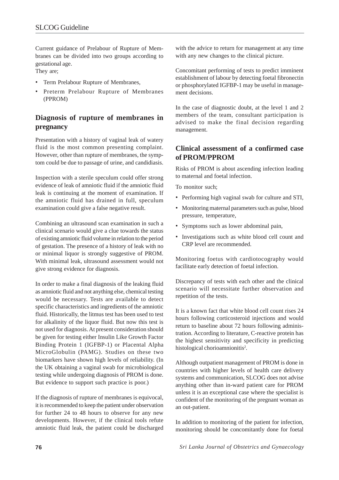Current guidance of Prelabour of Rupture of Membranes can be divided into two groups according to gestational age.

They are;

- Term Prelabour Rupture of Membranes,
- Preterm Prelabour Rupture of Membranes (PPROM)

### **Diagnosis of rupture of membranes in pregnancy**

Presentation with a history of vaginal leak of watery fluid is the most common presenting complaint. However, other than rupture of membranes, the symptom could be due to passage of urine, and candidiasis.

Inspection with a sterile speculum could offer strong evidence of leak of amniotic fluid if the amniotic fluid leak is continuing at the moment of examination. If the amniotic fluid has drained in full, speculum examination could give a false negative result.

Combining an ultrasound scan examination in such a clinical scenario would give a clue towards the status of existing amniotic fluid volume in relation to the period of gestation. The presence of a history of leak with no or minimal liquor is strongly suggestive of PROM. With minimal leak, ultrasound assessment would not give strong evidence for diagnosis.

In order to make a final diagnosis of the leaking fluid as amniotic fluid and not anything else, chemical testing would be necessary. Tests are available to detect specific characteristics and ingredients of the amniotic fluid. Historically, the litmus test has been used to test for alkalinity of the liquor fluid. But now this test is not used for diagnosis. At present consideration should be given for testing either Insulin Like Growth Factor Binding Protein 1 (IGFBP-1) or Placental Alpha MicroGlobulin (PAMG). Studies on these two biomarkers have shown high levels of reliability. (In the UK obtaining a vaginal swab for microbiological testing while undergoing diagnosis of PROM is done. But evidence to support such practice is poor.)

If the diagnosis of rupture of membranes is equivocal, it is recommended to keep the patient under observation for further 24 to 48 hours to observe for any new developments. However, if the clinical tools refute amniotic fluid leak, the patient could be discharged with the advice to return for management at any time with any new changes to the clinical picture.

Concomitant performing of tests to predict imminent establishment of labour by detecting foetal fibronectin or phosphorylated IGFBP-1 may be useful in management decisions.

In the case of diagnostic doubt, at the level 1 and 2 members of the team, consultant participation is advised to make the final decision regarding management.

#### **Clinical assessment of a confirmed case of PROM/PPROM**

Risks of PROM is about ascending infection leading to maternal and foetal infection.

To monitor such;

- Performing high vaginal swab for culture and STI,
- Monitoring maternal parameters such as pulse, blood pressure, temperature,
- Symptoms such as lower abdominal pain,
- Investigations such as white blood cell count and CRP level are recommended.

Monitoring foetus with cardiotocography would facilitate early detection of foetal infection.

Discrepancy of tests with each other and the clinical scenario will necessitate further observation and repetition of the tests.

It is a known fact that white blood cell count rises 24 hours following corticosteroid injections and would return to baseline about 72 hours following administration. According to literature, C-reactive protein has the highest sensitivity and specificity in predicting histological chorioamnionitis<sup>2</sup>.

Although outpatient management of PROM is done in countries with higher levels of health care delivery systems and communication, SLCOG does not advise anything other than in-ward patient care for PROM unless it is an exceptional case where the specialist is confident of the monitoring of the pregnant woman as an out-patient.

In addition to monitoring of the patient for infection, monitoring should be concomitantly done for foetal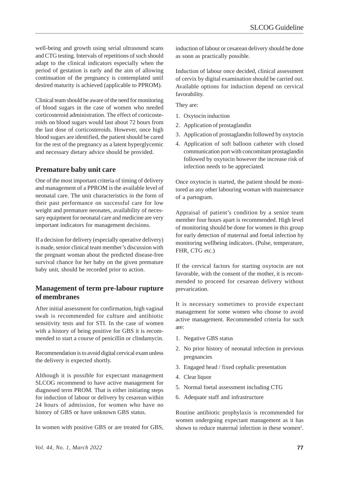well-being and growth using serial ultrasound scans and CTG testing. Intervals of repetitions of such should adapt to the clinical indicators especially when the period of gestation is early and the aim of allowing continuation of the pregnancy is contemplated until desired maturity is achieved (applicable to PPROM).

Clinical team should be aware of the need for monitoring of blood sugars in the case of women who needed corticosteroid administration. The effect of corticosteroids on blood sugars would last about 72 hours from the last dose of corticosteroids. However, once high blood sugars are identified, the patient should be cared for the rest of the pregnancy as a latent hyperglycemic and necessary dietary advice should be provided.

#### **Premature baby unit care**

One of the most important criteria of timing of delivery and management of a PPROM is the available level of neonatal care. The unit characteristics in the form of their past performance on successful care for low weight and premature neonates, availability of necessary equipment for neonatal care and medicine are very important indicators for management decisions.

If a decision for delivery (especially operative delivery) is made, senior clinical team member's discussion with the pregnant woman about the predicted disease-free survival chance for her baby on the given premature baby unit, should be recorded prior to action.

#### **Management of term pre-labour rupture of membranes**

After initial assessment for confirmation, high vaginal swab is recommended for culture and antibiotic sensitivity tests and for STI. In the case of women with a history of being positive for GBS it is recommended to start a course of penicillin or clindamycin.

Recommendation is to avoid digital cervical exam unless the delivery is expected shortly.

Although it is possible for expectant management SLCOG recommend to have active management for diagnosed term PROM. That is either initiating steps for induction of labour or delivery by cesarean within 24 hours of admission, for women who have no history of GBS or have unknown GBS status.

In women with positive GBS or are treated for GBS,

induction of labour or cesarean delivery should be done as soon as practically possible.

Induction of labour once decided, clinical assessment of cervix by digital examination should be carried out. Available options for induction depend on cervical favorability.

They are:

- 1. Oxytocin induction
- 2. Application of prostaglandin
- 3. Application of prostaglandin followed by oxytocin
- 4. Application of soft balloon catheter with closed communication port with concomitant prostaglandin followed by oxytocin however the increase risk of infection needs to be appreciated.

Once oxytocin is started, the patient should be monitored as any other labouring woman with maintenance of a partogram.

Appraisal of patient's condition by a senior team member four hours apart is recommended. High level of monitoring should be done for women in this group for early detection of maternal and foetal infection by monitoring wellbeing indicators. (Pulse, temperature, FHR, CTG etc.)

If the cervical factors for starting oxytocin are not favorable, with the consent of the mother, it is recommended to proceed for cesarean delivery without prevarication.

It is necessary sometimes to provide expectant management for some women who choose to avoid active management. Recommended criteria for such are:

- 1. Negative GBS status
- 2. No prior history of neonatal infection in previous pregnancies
- 3. Engaged head / fixed cephalic presentation
- 4. Clear liquor
- 5. Normal foetal assessment including CTG
- 6. Adequate staff and infrastructure

Routine antibiotic prophylaxis is recommended for women undergoing expectant management as it has shown to reduce maternal infection in these women<sup>2</sup>.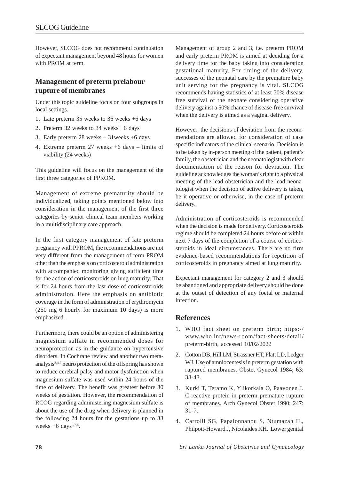However, SLCOG does not recommend continuation of expectant management beyond 48 hours for women with PROM at term.

#### **Management of preterm prelabour rupture of membranes**

Under this topic guideline focus on four subgroups in local settings.

- 1. Late preterm 35 weeks to 36 weeks +6 days
- 2. Preterm 32 weeks to 34 weeks +6 days
- 3. Early preterm 28 weeks 31weeks +6 days
- 4. Extreme preterm 27 weeks +6 days limits of viability (24 weeks)

This guideline will focus on the management of the first three categories of PPROM.

Management of extreme prematurity should be individualized, taking points mentioned below into consideration in the management of the first three categories by senior clinical team members working in a multidisciplinary care approach.

In the first category management of late preterm pregnancy with PPROM, the recommendations are not very different from the management of term PROM other than the emphasis on corticosteroid administration with accompanied monitoring giving sufficient time for the action of corticosteroids on lung maturity. That is for 24 hours from the last dose of corticosteroids administration. Here the emphasis on antibiotic coverage in the form of administration of erythromycin (250 mg 6 hourly for maximum 10 days) is more emphasized.

Furthermore, there could be an option of administering magnesium sulfate in recommended doses for neuroprotection as in the guidance on hypertensive disorders. In Cochrane review and another two metaanalysis3,4,5 neuro protection of the offspring has shown to reduce cerebral palsy and motor dysfunction when magnesium sulfate was used within 24 hours of the time of delivery. The benefit was greatest before 30 weeks of gestation. However, the recommendation of RCOG regarding administering magnesium sulfate is about the use of the drug when delivery is planned in the following 24 hours for the gestations up to 33 weeks  $+6$  days<sup>6,7,8</sup>.

Management of group 2 and 3, i.e. preterm PROM and early preterm PROM is aimed at deciding for a delivery time for the baby taking into consideration gestational maturity. For timing of the delivery, successes of the neonatal care by the premature baby unit serving for the pregnancy is vital. SLCOG recommends having statistics of at least 70% disease free survival of the neonate considering operative delivery against a 50% chance of disease-free survival when the delivery is aimed as a vaginal delivery.

However, the decisions of deviation from the recommendations are allowed for consideration of case specific indicators of the clinical scenario. Decision is to be taken by in-person meeting of the patient, patient's family, the obstetrician and the neonatologist with clear documentation of the reason for deviation. The guideline acknowledges the woman's right to a physical meeting of the lead obstetrician and the lead neonatologist when the decision of active delivery is taken, be it operative or otherwise, in the case of preterm delivery.

Administration of corticosteroids is recommended when the decision is made for delivery. Corticosteroids regime should be completed 24 hours before or within next 7 days of the completion of a course of corticosteroids in ideal circumstances. There are no firm evidence-based recommendations for repetition of corticosteroids in pregnancy aimed at lung maturity.

Expectant management for category 2 and 3 should be abandoned and appropriate delivery should be done at the outset of detection of any foetal or maternal infection.

#### **References**

- 1. WHO fact sheet on preterm birth; https:// www.who.int/news-room/fact-sheets/detail/ preterm-birth, accessed 10/02/2022
- 2. Cotton DB, Hill LM, Strassner HT, Platt LD, Ledger WJ. Use of amniocentesis in preterm gestation with ruptured membranes. Obstet Gynecol 1984; 63: 38-43.
- 3. Kurki T, Teramo K, Ylikorkala O, Paavonen J. C-reactive protein in preterm premature rupture of membranes. Arch Gynecol Obstet 1990; 247: 31-7.
- 4. Carrolll SG, Papaionnanou S, Ntumazah IL, Philpott-Howard J, Nicolaides KH. Lower genital